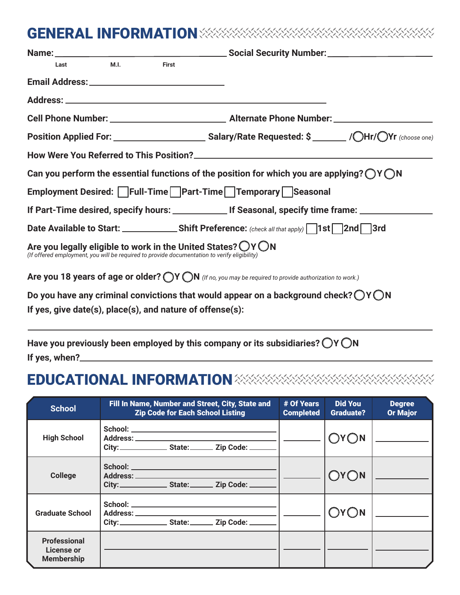## GENERAL INFORMATION

| M.I.<br><b>First</b><br>Last                                                                                                                                                     |  |
|----------------------------------------------------------------------------------------------------------------------------------------------------------------------------------|--|
|                                                                                                                                                                                  |  |
|                                                                                                                                                                                  |  |
|                                                                                                                                                                                  |  |
|                                                                                                                                                                                  |  |
|                                                                                                                                                                                  |  |
| Can you perform the essential functions of the position for which you are applying? $\bigcirc$ Y $\bigcirc$ N                                                                    |  |
| Employment Desired: Full-Time Part-Time Temporary Seasonal                                                                                                                       |  |
|                                                                                                                                                                                  |  |
| Date Available to Start: ____________________Shift Preference: (check all that apply) 1st 2nd 3rd                                                                                |  |
| Are you legally eligible to work in the United States? $\bigcirc$ Y $\bigcirc$ N<br>(If offered employment, you will be required to provide documentation to verify eligibility) |  |
| Are you 18 years of age or older? $\bigcirc$ Y $\bigcirc$ N (If no, you may be required to provide authorization to work.)                                                       |  |
| Do you have any criminal convictions that would appear on a background check? $\bigcirc$ Y $\bigcirc$ N                                                                          |  |
| If yes, give date(s), place(s), and nature of offense(s):                                                                                                                        |  |

Have you previously been employed by this company or its subsidiaries?  $\bigcirc$  Y  $\bigcirc$  N **If yes, when?**

## EDUCATIONAL INFORMATION

| <b>School</b>                                          | Fill In Name, Number and Street, City, State and<br><b>Zip Code for Each School Listing</b> | # Of Years<br><b>Completed</b> | <b>Did You</b><br><b>Graduate?</b> | <b>Degree</b><br><b>Or Major</b> |
|--------------------------------------------------------|---------------------------------------------------------------------------------------------|--------------------------------|------------------------------------|----------------------------------|
| <b>High School</b>                                     | City: _______________________ State: ____________ Zip Code: _________                       |                                | OYON                               |                                  |
| <b>College</b>                                         |                                                                                             |                                | OYON                               |                                  |
| <b>Graduate School</b>                                 | City: _____________________ State: __________ Zip Code: _________                           |                                | OYON                               |                                  |
| <b>Professional</b><br>License or<br><b>Membership</b> |                                                                                             |                                |                                    |                                  |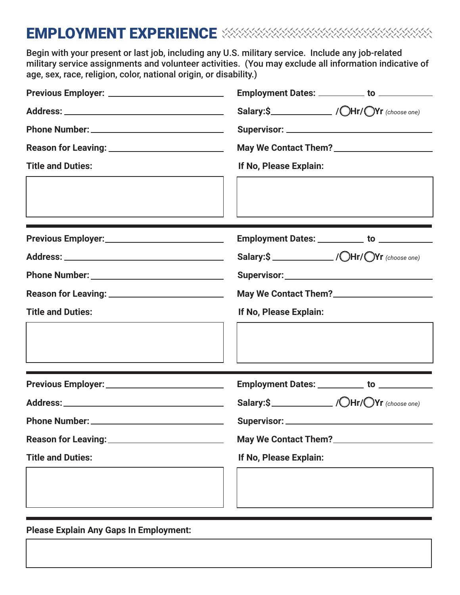# EMPLOYMENT EXPERIENCE **XXXXXXXXXXXXXX**

Begin with your present or last job, including any U.S. military service. Include any job-related military service assignments and volunteer activities. (You may exclude all information indicative of age, sex, race, religion, color, national origin, or disability.)

|                                                         | Employment Dates: __________ to ____________                                                                                                                                                                                           |  |  |
|---------------------------------------------------------|----------------------------------------------------------------------------------------------------------------------------------------------------------------------------------------------------------------------------------------|--|--|
|                                                         |                                                                                                                                                                                                                                        |  |  |
|                                                         |                                                                                                                                                                                                                                        |  |  |
|                                                         |                                                                                                                                                                                                                                        |  |  |
| <b>Title and Duties:</b>                                | If No, Please Explain:                                                                                                                                                                                                                 |  |  |
|                                                         |                                                                                                                                                                                                                                        |  |  |
|                                                         | Employment Dates: __________ to ___________                                                                                                                                                                                            |  |  |
|                                                         |                                                                                                                                                                                                                                        |  |  |
|                                                         |                                                                                                                                                                                                                                        |  |  |
| Reason for Leaving: ___________________________         | May We Contact Them?<br><u>Letting and the manufacture of the manufacture of the manufacture of the manufacture of the manufacture of the manufacture of the manufacture of the manufacture of the manufacture of the manufacture </u> |  |  |
| <b>Title and Duties:</b>                                | If No, Please Explain:                                                                                                                                                                                                                 |  |  |
|                                                         |                                                                                                                                                                                                                                        |  |  |
|                                                         | <u> 1989 - Johann Stein, mars an deutscher Stein und der Stein und der Stein und der Stein und der Stein und der</u>                                                                                                                   |  |  |
| Previous Employer: <u>_____________________________</u> |                                                                                                                                                                                                                                        |  |  |
|                                                         | Salary: $\frac{1}{\sqrt{C}}$ / $\frac{1}{\sqrt{C}}$ / $\frac{1}{\sqrt{C}}$ / $\frac{1}{\sqrt{C}}$ (choose one)                                                                                                                         |  |  |
| Phone Number: __                                        | Supervisor: _                                                                                                                                                                                                                          |  |  |
|                                                         | May We Contact Them?<br><u>Letting and the manufacture of the manufacture of the manufacture of the manufacture of the manufacture of the manufacture of the manufacture of the manufacture of the manufacture of the manufacture </u> |  |  |
| <b>Title and Duties:</b>                                | If No, Please Explain:                                                                                                                                                                                                                 |  |  |
|                                                         |                                                                                                                                                                                                                                        |  |  |
|                                                         |                                                                                                                                                                                                                                        |  |  |
|                                                         |                                                                                                                                                                                                                                        |  |  |

**Please Explain Any Gaps In Employment:**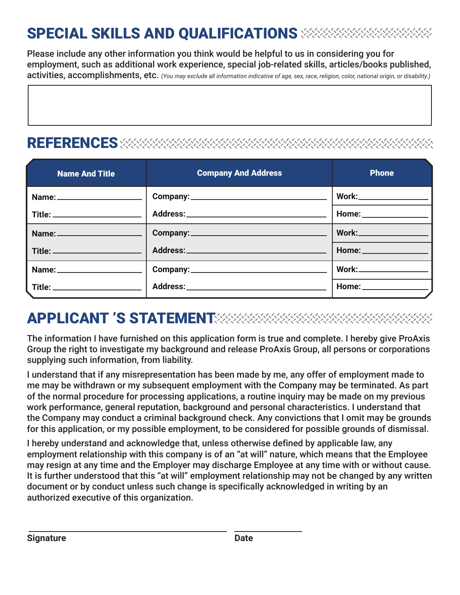# SPECIAL SKILLS AND QUALIFICATIONS

Please include any other information you think would be helpful to us in considering you for employment, such as additional work experience, special job-related skills, articles/books published, activities, accomplishments, etc. *(You may exclude all information indicative of age, sex, race, religion, color, national origin, or disability.)*

#### **REFERENCES**

| <b>Name And Title</b>           | <b>Company And Address</b> | Phone                            |
|---------------------------------|----------------------------|----------------------------------|
|                                 |                            | <b>Work:____________________</b> |
|                                 |                            |                                  |
| Name: _________________________ |                            |                                  |
| Title: ________________________ |                            | Home: New York Processing        |
|                                 |                            |                                  |
|                                 |                            | Home: _________________          |

## APPLICANT 'S STATEMENT

The information I have furnished on this application form is true and complete. I hereby give ProAxis Group the right to investigate my background and release ProAxis Group, all persons or corporations supplying such information, from liability.

I understand that if any misrepresentation has been made by me, any offer of employment made to me may be withdrawn or my subsequent employment with the Company may be terminated. As part of the normal procedure for processing applications, a routine inquiry may be made on my previous work performance, general reputation, background and personal characteristics. I understand that the Company may conduct a criminal background check. Any convictions that I omit may be grounds for this application, or my possible employment, to be considered for possible grounds of dismissal.

I hereby understand and acknowledge that, unless otherwise defined by applicable law, any employment relationship with this company is of an "at will" nature, which means that the Employee may resign at any time and the Employer may discharge Employee at any time with or without cause. It is further understood that this "at will" employment relationship may not be changed by any written document or by conduct unless such change is specifically acknowledged in writing by an authorized executive of this organization.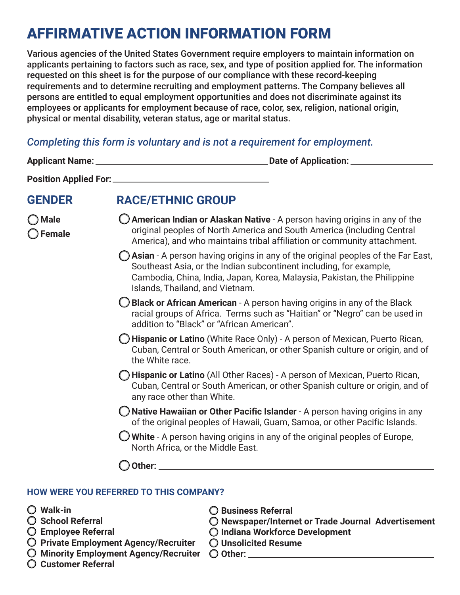## AFFIRMATIVE ACTION INFORMATION FORM

Various agencies of the United States Government require employers to maintain information on applicants pertaining to factors such as race, sex, and type of position applied for. The information requested on this sheet is for the purpose of our compliance with these record-keeping requirements and to determine recruiting and employment patterns. The Company believes all persons are entitled to equal employment opportunities and does not discriminate against its employees or applicants for employment because of race, color, sex, religion, national origin, physical or mental disability, veteran status, age or marital status.

#### *Completing this form is voluntary and is not a requirement for employment.*

| <b>GENDER</b>                        | <b>RACE/ETHNIC GROUP</b>                                                                                                                                                                                                                                                        |  |
|--------------------------------------|---------------------------------------------------------------------------------------------------------------------------------------------------------------------------------------------------------------------------------------------------------------------------------|--|
| $\bigcirc$ Male<br>$\bigcirc$ Female | $\bigcirc$ American Indian or Alaskan Native - A person having origins in any of the<br>original peoples of North America and South America (including Central<br>America), and who maintains tribal affiliation or community attachment.                                       |  |
|                                      | $\bigcirc$ Asian - A person having origins in any of the original peoples of the Far East,<br>Southeast Asia, or the Indian subcontinent including, for example,<br>Cambodia, China, India, Japan, Korea, Malaysia, Pakistan, the Philippine<br>Islands, Thailand, and Vietnam. |  |
|                                      | $\bigcirc$ Black or African American - A person having origins in any of the Black<br>racial groups of Africa. Terms such as "Haitian" or "Negro" can be used in<br>addition to "Black" or "African American".                                                                  |  |
|                                      | ◯ Hispanic or Latino (White Race Only) - A person of Mexican, Puerto Rican,<br>Cuban, Central or South American, or other Spanish culture or origin, and of<br>the White race.                                                                                                  |  |
|                                      | <b>D Hispanic or Latino</b> (All Other Races) - A person of Mexican, Puerto Rican,<br>Cuban, Central or South American, or other Spanish culture or origin, and of<br>any race other than White.                                                                                |  |
|                                      | $\bigcirc$ Native Hawaiian or Other Pacific Islander - A person having origins in any<br>of the original peoples of Hawaii, Guam, Samoa, or other Pacific Islands.                                                                                                              |  |
|                                      | $\bigcirc$ White - A person having origins in any of the original peoples of Europe,<br>North Africa, or the Middle East.                                                                                                                                                       |  |
|                                      | Other:                                                                                                                                                                                                                                                                          |  |

#### **HOW WERE YOU REFERRED TO THIS COMPANY?**

- **Walk-in**
- **School Referral**
- **Employee Referral**
- **Private Employment Agency/Recruiter**
- **Minority Employment Agency/Recruiter**
- **Customer Referral**
- **Business Referral**
- **Newspaper/Internet or Trade Journal Advertisement**
- **Indiana Workforce Development**
- **Unsolicited Resume**
- **Other:**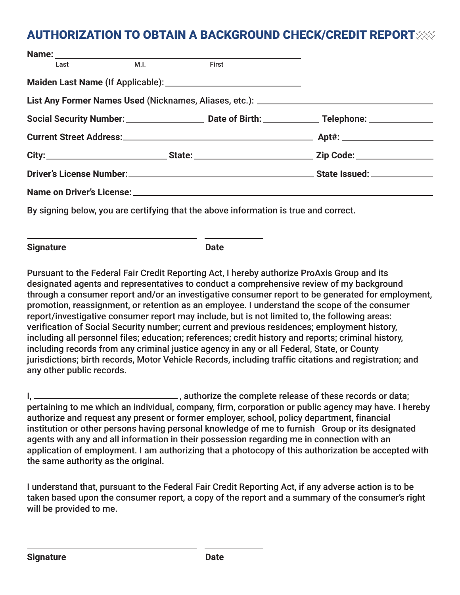#### AUTHORIZATION TO OBTAIN A BACKGROUND CHECK/CREDIT REPORT

|  | Last M.I. First |                                                                                      |                                                                                                               |
|--|-----------------|--------------------------------------------------------------------------------------|---------------------------------------------------------------------------------------------------------------|
|  |                 |                                                                                      |                                                                                                               |
|  |                 |                                                                                      | List Any Former Names Used (Nicknames, Aliases, etc.): \\connection materials are not result as a line of the |
|  |                 |                                                                                      |                                                                                                               |
|  |                 |                                                                                      |                                                                                                               |
|  |                 |                                                                                      |                                                                                                               |
|  |                 |                                                                                      |                                                                                                               |
|  |                 |                                                                                      |                                                                                                               |
|  |                 | By signing below, you are certifying that the above information is true and correct. |                                                                                                               |

**Signature Date** 

Pursuant to the Federal Fair Credit Reporting Act, I hereby authorize ProAxis Group and its designated agents and representatives to conduct a comprehensive review of my background through a consumer report and/or an investigative consumer report to be generated for employment, promotion, reassignment, or retention as an employee. I understand the scope of the consumer report/investigative consumer report may include, but is not limited to, the following areas: verification of Social Security number; current and previous residences; employment history, including all personnel files; education; references; credit history and reports; criminal history, including records from any criminal justice agency in any or all Federal, State, or County jurisdictions; birth records, Motor Vehicle Records, including traffic citations and registration; and any other public records.

I, authorize the complete release of these records or data; pertaining to me which an individual, company, firm, corporation or public agency may have. I hereby authorize and request any present or former employer, school, policy department, financial institution or other persons having personal knowledge of me to furnish Group or its designated agents with any and all information in their possession regarding me in connection with an application of employment. I am authorizing that a photocopy of this authorization be accepted with the same authority as the original.

I understand that, pursuant to the Federal Fair Credit Reporting Act, if any adverse action is to be taken based upon the consumer report, a copy of the report and a summary of the consumer's right will be provided to me.